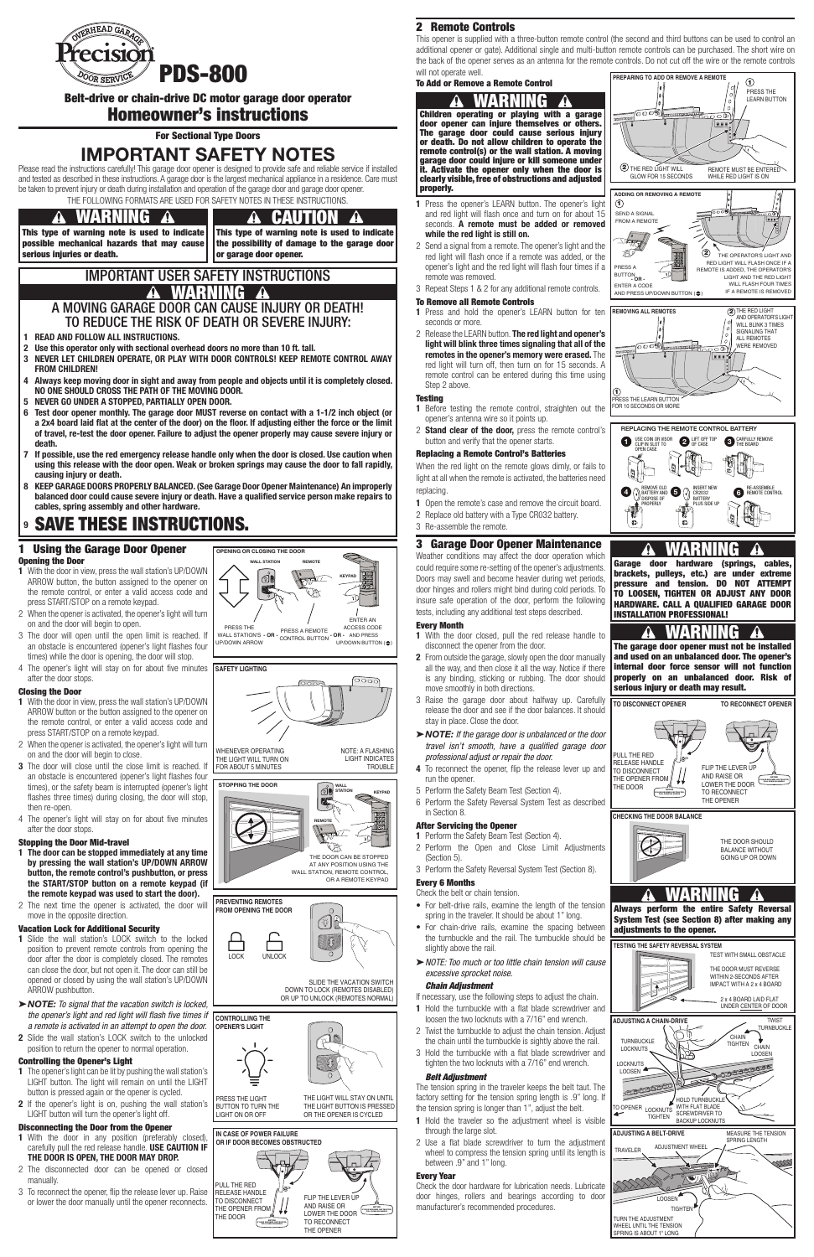### 2 Remote Controls

This opener is supplied with a three-button remote control (the second and third buttons can be used to control an additional opener or gate). Additional single and multi-button remote controls can be purchased. The short wire on the back of the opener serves as an antenna for the remote controls. Do not cut off the wire or the remote controls will not operate well. **PREPARING TO ADD OR REMOVE A REMOTE** 

ಾಂಲ್

To Add or Remove a Remote Control

1 Press the opener's LEARN button. The opener's light and red light will flash once and turn on for about 15 seconds. A remote must be added or removed while the red light is still on.

- 1 Press and hold the opener's LEARN button for ten seconds or more.
- 2 Release the LEARN button. The red light and opener's light will blink three times signaling that all of the remotes in the opener's memory were erased. The red light will turn off, then turn on for 15 seconds. A remote control can be entered during this time using Step 2 above.

#### **Testing**

- 1 Before testing the remote control, straighten out the opener's antenna wire so it points up.
- 2 Stand clear of the door, press the remote control's button and verify that the opener starts.
- 2 Send a signal from a remote. The opener's light and the red light will flash once if a remote was added, or the opener's light and the red light will flash four times if a remote was removed.
- 3 Repeat Steps 1 & 2 for any additional remote controls.

When the red light on the remote glows dimly, or fails to light at all when the remote is activated, the batteries need replacing.

- 1 Open the remote's case and remove the circuit board.
- 2 Replace old battery with a Type CR032 battery.
- 3 Re-assemble the remote.

#### To Remove all Remote Controls

#### Replacing a Remote Control's Batteries

### 3 Garage Door Opener Maintenance

- 1 Hold the turnbuckle with a flat blade screwdriver and loosen the two locknuts with a 7/16" end wrench.
- 2 Twist the turnbuckle to adjust the chain tension. Adjust the chain until the turnbuckle is sightly above the rail.
- 3 Hold the turnbuckle with a flat blade screwdriver and tighten the two locknuts with a 7/16" end wrench.

Weather conditions may affect the door operation which could require some re-setting of the opener's adjustments. Doors may swell and become heavier during wet periods, door hinges and rollers might bind during cold periods. To insure safe operation of the door, perform the following tests, including any additional test steps described.

#### Every Month

- 1 With the door closed, pull the red release handle to disconnect the opener from the door.
- 2 From outside the garage, slowly open the door manually all the way, and then close it all the way. Notice if there is any binding, sticking or rubbing. The door should move smoothly in both directions.
- 3 Raise the garage door about halfway up. Carefully release the door and see if the door balances. It should stay in place. Close the door.
- ▶**NOTE:** If the garage door is unbalanced or the door *travel isn't smooth, have a qualified garage door professional adjust or repair the door.*
- 4 To reconnect the opener, flip the release lever up and run the opener.
- 5 Perform the Safety Beam Test (Section 4).
- 6 Perform the Safety Reversal System Test as described in Section 8.

### After Servicing the Opener

- 1 Perform the Safety Beam Test (Section 4).
- 2 Perform the Open and Close Limit Adjustments
- (Section 5). 3 Perform the Safety Reversal System Test (Section 8).

#### Every 6 Months

### Check the belt or chain tension.

• For belt-drive rails, examine the length of the tension spring in the traveler. It should be about 1" long.

- For chain-drive rails, examine the spacing between the turnbuckle and the rail. The turnbuckle should be slightly above the rail.
- ▶ NOTE: Too much or too little chain tension will cause *excessive sprocket noise.*

#### *Chain Adjustment*

If necessary, use the following steps to adjust the chain.

- 1 The opener's light can be lit by pushing the wall station's LIGHT button. The light will remain on until the LIGHT button is pressed again or the opener is cycled.
- 2 If the opener's light is on, pushing the wall station's LIGHT button will turn the opener's light off.

#### *Belt Adjustment*

# IMPORTANT USER SAFETY INSTRUCTIONS **A WARNING A**

The tension spring in the traveler keeps the belt taut. The factory setting for the tension spring length is .9" long. If the tension spring is longer than 1", adjust the belt.

- 1 READ AND FOLLOW ALL INSTRUCTIONS.
- 2 Use this operator only with sectional overhead doors no more than 10 ft. tall.
- 3 NEVER LET CHILDREN OPERATE, OR PLAY WITH DOOR CONTROLS! KEEP REMOTE CONTROL AWAY FROM CHILDREN!
- 4 Always keep moving door in sight and away from people and objects until it is completely closed. NO ONE SHOULD CROSS THE PATH OF THE MOVING DOOR.
- 5 NEVER GO UNDER A STOPPED, PARTIALLY OPEN DOOR.
- 6 Test door opener monthly. The garage door MUST reverse on contact with a 1-1/2 inch object (or a 2x4 board laid flat at the center of the door) on the floor. If adjusting either the force or the limit of travel, re-test the door opener. Failure to adjust the opener properly may cause severe injury or death.
- 7 If possible, use the red emergency release handle only when the door is closed. Use caution when using this release with the door open. Weak or broken springs may cause the door to fall rapidly, causing injury or death.
- 8 KEEP GARAGE DOORS PROPERLY BALANCED. (See Garage Door Opener Maintenance) An improperly balanced door could cause severe injury or death. Have a qualified service person make repairs to cables, spring assembly and other hardware.

# **9 SAVE THESE INSTRUCTIONS.**

- 1 Hold the traveler so the adjustment wheel is visible through the large slot.
- 2 Use a flat blade screwdriver to turn the adjustment wheel to compress the tension spring until its length is between .9" and 1" long.

#### Every Year

Check the door hardware for lubrication needs. Lubricate door hinges, rollers and bearings according to door manufacturer's recommended procedures.

Belt-drive or chain-drive DC motor garage door operator

# Homeowner's instructions

For Sectional Type Doors

# IMPORTANT SAFETY NOTES

Please read the instructions carefully! This garage door opener is designed to provide safe and reliable service if installed and tested as described in these instructions. A garage door is the largest mechanical appliance in a residence. Care must be taken to prevent injury or death during installation and operation of the garage door and garage door opener. THE FOLLOWING FORMATS ARE USED FOR SAFETY NOTES IN THESE INSTRUCTIONS.

> **A CAUTION** This type of warning note is used to indicate the possibility of damage to the garage door or garage door opener.

### 1 Using the Garage Door Opener Opening the Door

- 1 With the door in view, press the wall station's UP/DOWN ARROW button, the button assigned to the opener on the remote control, or enter a valid access code and press START/STOP on a remote keypad.
- 2 When the opener is activated, the opener's light will turn on and the door will begin to open.
- 3 The door will open until the open limit is reached. If an obstacle is encountered (opener's light flashes four times) while the door is opening, the door will stop.
- 4 The opener's light will stay on for about five minutes after the door stops.

#### Closing the Door

- 1 With the door in view, press the wall station's UP/DOWN ARROW button or the button assigned to the opener on the remote control, or enter a valid access code and press START/STOP on a remote keypad.
- 2 When the opener is activated, the opener's light will turn on and the door will begin to close.
- 3 The door will close until the close limit is reached. If an obstacle is encountered (opener's light flashes four times), or the safety beam is interrupted (opener's light flashes three times) during closing, the door will stop, then re-open.
- 4 The opener's light will stay on for about five minutes after the door stops.

**STOPPING THE DOOR** STATION KEYPAD REMOTE B THE DOOR CAN BE STOPPED AT ANY POSITION USING THE WALL STATION, REMOTE CONTROL,



SLIDE THE VACATION SWITCH DOWN TO LOCK (REMOTES DISABLED) OR UP TO UNLOCK (REMOTES NORMAL)

### Stopping the Door Mid-travel

- 1 The door can be stopped immediately at any time by pressing the wall station's UP/DOWN ARROW button, the remote control's pushbutton, or press the START/STOP button on a remote keypad (if the remote keypad was used to start the door).
- 2 The next time the opener is activated, the door will move in the opposite direction.

#### Vacation Lock for Additional Security

NOTE: A FLASHING LIGHT INDICATES **TROUBLE** 

- 1 Slide the wall station's LOCK switch to the locked position to prevent remote controls from opening the door after the door is completely closed. The remotes can close the door, but not open it. The door can still be opened or closed by using the wall station's UP/DOWN ARROW pushbutton.
- ▶**NOTE:** *To signal that the vacation switch is locked, the opener's light and red light will flash five times if a remote is activated in an attempt to open the door.* **CONTROLLING THE OPENER'S LIGHT**
- 2 Slide the wall station's LOCK switch to the unlocked position to return the opener to normal operation.

#### Controlling the Opener's Light

#### Disconnecting the Door from the Opener

- 1 With the door in any position (preferably closed), carefully pull the red release handle. USE CAUTION IF THE DOOR IS OPEN, THE DOOR MAY DROP.
- 2 The disconnected door can be opened or closed manually.
- 3 To reconnect the opener, flip the release lever up. Raise or lower the door manually until the opener reconnects.

### A MOVING GARAGE DOOR CAN CAUSE INJURY OR DEATH! TO REDUCE THE RISK OF DEATH OR SEVERE INJURY:

# WARNING

This type of warning note is used to indicate possible mechanical hazards that may cause serious injuries or death.

# WARNING



The garage door opener must not be installed and used on an unbalanced door. The opener's internal door force sensor will not function properly on an unbalanced door. Risk of serious injury or death may result.

# WARNING

Garage door hardware (springs, cables, brackets, pulleys, etc.) are under extreme pressure and tension. DO NOT ATTEMPT TO LOOSEN, TIGHTEN OR ADJUST ANY DOOR HARDWARE. CALL A QUALIFIED GARAGE DOOR INSTALLATION PROFESSIONAL!



Always perform the entire Safety Reversal System Test (see Section 8) after making any



ಂಂ

#### adjustments to the opener.

ÆŨ



## WARNING

Children operating or playing with a garage door opener can injure themselves or others. The garage door could cause serious injury or death. Do not allow children to operate the remote control(s) or the wall station. A moving garage door could injure or kill someone under it. Activate the opener only when the door is clearly visible, free of obstructions and adjusted properly.



PRESS THE LEARN BUTTON

....





 $\widehat{\mathbb{A}}$  a



**PREVENTING REMOTES FROM OPENING THE DOOR**



PRESS THE LIGHT BUTTON TO TURN THE LIGHT ON OR OFF THE LIGHT WILL STAY ON UNTIL THE LIGHT BUTTON IS PRESSED OR THE OPENER IS CYCLED



# **IN CASE OF POWER FAILURE OR IF DOOR BECOMES OBSTRUCTED**



THE DOOR



WHENEVER OPERATING

THE LIGHT WILL TURN ON FOR ABOUT 5 MINUTES

**SAFETY LIGHTING**